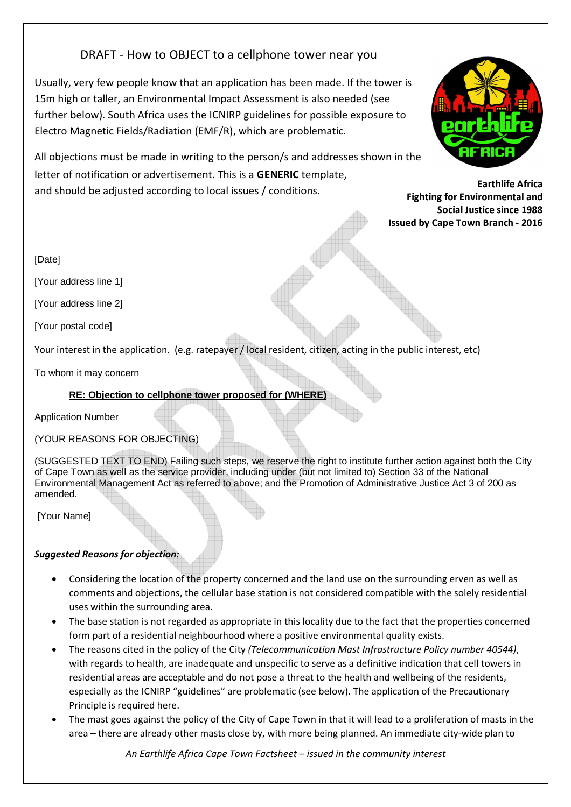# DRAFT - How to OBJECT to a cellphone tower near you

Usually, very few people know that an application has been made. If the tower is 15m high or taller, an Environmental Impact Assessment is also needed (see further below). South Africa uses the ICNIRP guidelines for possible exposure to Electro Magnetic Fields/Radiation (EMF/R), which are problematic.





Earthlife Africa Fighting for Environmental and Social Justice since 1988 Issued by Cape Town Branch - 2016

[Date]

[Your address line 1]

[Your address line 2]

[Your postal code]

Your interest in the application. (e.g. ratepayer / local resident, citizen, acting in the public interest, etc)

To whom it may concern

# **RE: Objection to cellphone tower proposed for (WHERE)**

Application Number

(YOUR REASONS FOR OBJECTING)

(SUGGESTED TEXT TO END) Failing such steps, we reserve the right to institute further action against both the City of Cape Town as well as the service provider, including under (but not limited to) Section 33 of the National Environmental Management Act as referred to above; and the Promotion of Administrative Justice Act 3 of 200 as amended.

[Your Name]

# Suggested Reasons for objection:

- Considering the location of the property concerned and the land use on the surrounding erven as well as comments and objections, the cellular base station is not considered compatible with the solely residential uses within the surrounding area.
- The base station is not regarded as appropriate in this locality due to the fact that the properties concerned form part of a residential neighbourhood where a positive environmental quality exists.
- The reasons cited in the policy of the City (Telecommunication Mast Infrastructure Policy number 40544), with regards to health, are inadequate and unspecific to serve as a definitive indication that cell towers in residential areas are acceptable and do not pose a threat to the health and wellbeing of the residents, especially as the ICNIRP "guidelines" are problematic (see below). The application of the Precautionary Principle is required here.
- The mast goes against the policy of the City of Cape Town in that it will lead to a proliferation of masts in the area – there are already other masts close by, with more being planned. An immediate city-wide plan to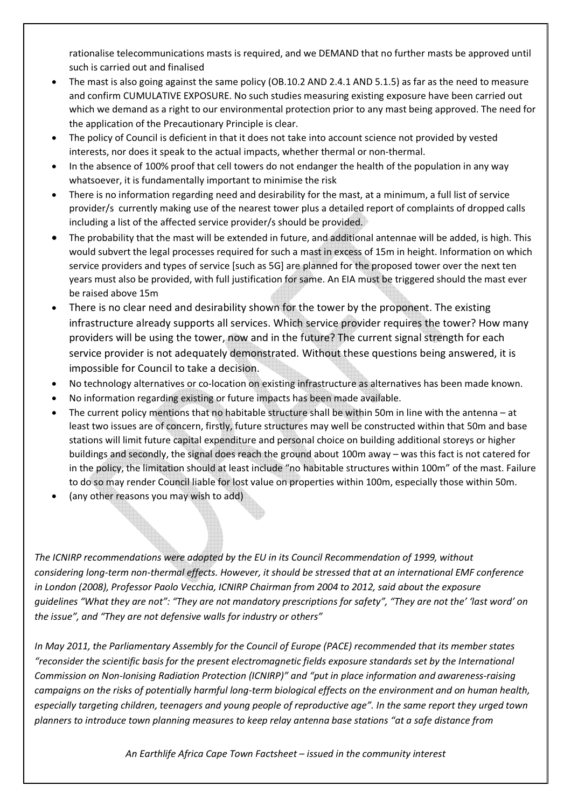rationalise telecommunications masts is required, and we DEMAND that no further masts be approved until such is carried out and finalised

- The mast is also going against the same policy (OB.10.2 AND 2.4.1 AND 5.1.5) as far as the need to measure and confirm CUMULATIVE EXPOSURE. No such studies measuring existing exposure have been carried out which we demand as a right to our environmental protection prior to any mast being approved. The need for the application of the Precautionary Principle is clear.
- The policy of Council is deficient in that it does not take into account science not provided by vested interests, nor does it speak to the actual impacts, whether thermal or non-thermal.
- In the absence of 100% proof that cell towers do not endanger the health of the population in any way whatsoever, it is fundamentally important to minimise the risk
- There is no information regarding need and desirability for the mast, at a minimum, a full list of service provider/s currently making use of the nearest tower plus a detailed report of complaints of dropped calls including a list of the affected service provider/s should be provided.
- The probability that the mast will be extended in future, and additional antennae will be added, is high. This would subvert the legal processes required for such a mast in excess of 15m in height. Information on which service providers and types of service [such as 5G] are planned for the proposed tower over the next ten years must also be provided, with full justification for same. An EIA must be triggered should the mast ever be raised above 15m
- There is no clear need and desirability shown for the tower by the proponent. The existing infrastructure already supports all services. Which service provider requires the tower? How many providers will be using the tower, now and in the future? The current signal strength for each service provider is not adequately demonstrated. Without these questions being answered, it is impossible for Council to take a decision.
- No technology alternatives or co-location on existing infrastructure as alternatives has been made known.
- No information regarding existing or future impacts has been made available.
- The current policy mentions that no habitable structure shall be within 50m in line with the antenna at least two issues are of concern, firstly, future structures may well be constructed within that 50m and base stations will limit future capital expenditure and personal choice on building additional storeys or higher buildings and secondly, the signal does reach the ground about 100m away – was this fact is not catered for in the policy, the limitation should at least include "no habitable structures within 100m" of the mast. Failure to do so may render Council liable for lost value on properties within 100m, especially those within 50m.
- (any other reasons you may wish to add)

The ICNIRP recommendations were adopted by the EU in its Council Recommendation of 1999, without considering long-term non-thermal effects. However, it should be stressed that at an international EMF conference in London (2008), Professor Paolo Vecchia, ICNIRP Chairman from 2004 to 2012, said about the exposure guidelines "What they are not": "They are not mandatory prescriptions for safety", "They are not the' 'last word' on the issue", and "They are not defensive walls for industry or others"

In May 2011, the Parliamentary Assembly for the Council of Europe (PACE) recommended that its member states "reconsider the scientific basis for the present electromagnetic fields exposure standards set by the International Commission on Non-Ionising Radiation Protection (ICNIRP)" and "put in place information and awareness-raising campaigns on the risks of potentially harmful long-term biological effects on the environment and on human health, especially targeting children, teenagers and young people of reproductive age". In the same report they urged town planners to introduce town planning measures to keep relay antenna base stations "at a safe distance from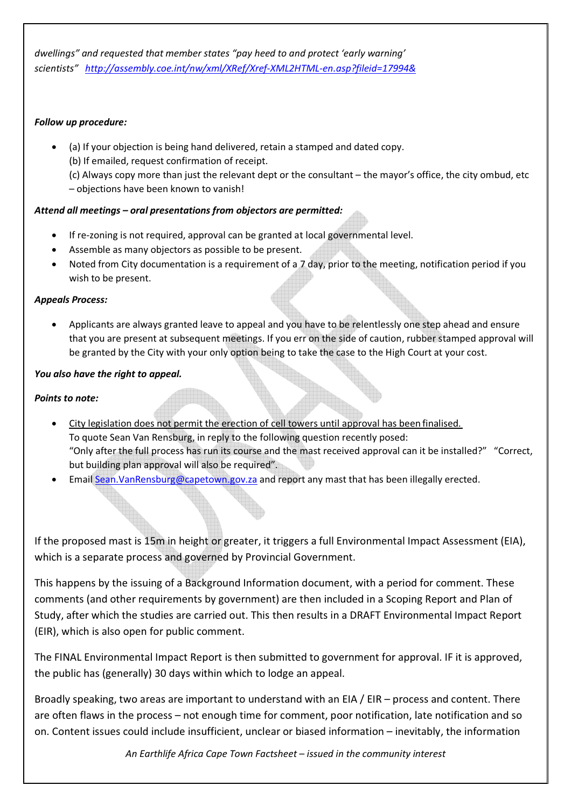dwellings" and requested that member states "pay heed to and protect 'early warning' scientists" http://assembly.coe.int/nw/xml/XRef/Xref-XML2HTML-en.asp?fileid=17994&

#### Follow up procedure:

• (a) If your objection is being hand delivered, retain a stamped and dated copy. (b) If emailed, request confirmation of receipt.

(c) Always copy more than just the relevant dept or the consultant – the mayor's office, the city ombud, etc – objections have been known to vanish!

# Attend all meetings – oral presentations from objectors are permitted:

- If re-zoning is not required, approval can be granted at local governmental level.
- Assemble as many objectors as possible to be present.
- Noted from City documentation is a requirement of a 7 day, prior to the meeting, notification period if you wish to be present.

#### Appeals Process:

• Applicants are always granted leave to appeal and you have to be relentlessly one step ahead and ensure that you are present at subsequent meetings. If you err on the side of caution, rubber stamped approval will be granted by the City with your only option being to take the case to the High Court at your cost.

### You also have the right to appeal.

#### Points to note:

- City legislation does not permit the erection of cell towers until approval has been finalised. To quote Sean Van Rensburg, in reply to the following question recently posed: "Only after the full process has run its course and the mast received approval can it be installed?" "Correct, but building plan approval will also be required".
- Email Sean. VanRensburg@capetown.gov.za and report any mast that has been illegally erected.

If the proposed mast is 15m in height or greater, it triggers a full Environmental Impact Assessment (EIA), which is a separate process and governed by Provincial Government.

This happens by the issuing of a Background Information document, with a period for comment. These comments (and other requirements by government) are then included in a Scoping Report and Plan of Study, after which the studies are carried out. This then results in a DRAFT Environmental Impact Report (EIR), which is also open for public comment.

The FINAL Environmental Impact Report is then submitted to government for approval. IF it is approved, the public has (generally) 30 days within which to lodge an appeal.

Broadly speaking, two areas are important to understand with an EIA / EIR – process and content. There are often flaws in the process – not enough time for comment, poor notification, late notification and so on. Content issues could include insufficient, unclear or biased information – inevitably, the information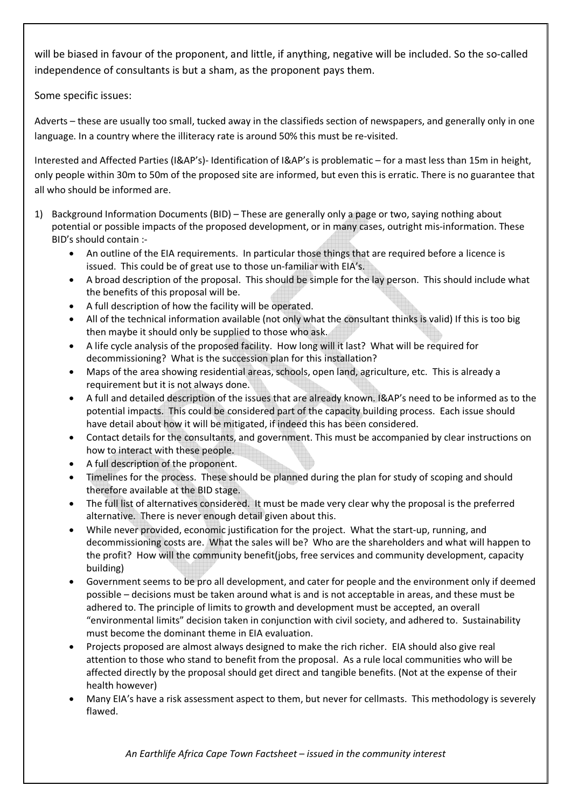will be biased in favour of the proponent, and little, if anything, negative will be included. So the so-called independence of consultants is but a sham, as the proponent pays them.

Some specific issues:

Adverts – these are usually too small, tucked away in the classifieds section of newspapers, and generally only in one language. In a country where the illiteracy rate is around 50% this must be re-visited.

Interested and Affected Parties (I&AP's)- Identification of I&AP's is problematic – for a mast less than 15m in height, only people within 30m to 50m of the proposed site are informed, but even this is erratic. There is no guarantee that all who should be informed are.

- 1) Background Information Documents (BID) These are generally only a page or two, saying nothing about potential or possible impacts of the proposed development, or in many cases, outright mis-information. These BID's should contain :-
	- An outline of the EIA requirements. In particular those things that are required before a licence is issued. This could be of great use to those un-familiar with EIA's.
	- A broad description of the proposal. This should be simple for the lay person. This should include what the benefits of this proposal will be.
	- A full description of how the facility will be operated.
	- All of the technical information available (not only what the consultant thinks is valid) If this is too big then maybe it should only be supplied to those who ask.
	- A life cycle analysis of the proposed facility. How long will it last? What will be required for decommissioning? What is the succession plan for this installation?
	- Maps of the area showing residential areas, schools, open land, agriculture, etc. This is already a requirement but it is not always done.
	- A full and detailed description of the issues that are already known. I&AP's need to be informed as to the potential impacts. This could be considered part of the capacity building process. Each issue should have detail about how it will be mitigated, if indeed this has been considered.
	- Contact details for the consultants, and government. This must be accompanied by clear instructions on how to interact with these people.
	- A full description of the proponent.
	- Timelines for the process. These should be planned during the plan for study of scoping and should therefore available at the BID stage.
	- The full list of alternatives considered. It must be made very clear why the proposal is the preferred alternative. There is never enough detail given about this.
	- While never provided, economic justification for the project. What the start-up, running, and decommissioning costs are. What the sales will be? Who are the shareholders and what will happen to the profit? How will the community benefit(jobs, free services and community development, capacity building)
	- Government seems to be pro all development, and cater for people and the environment only if deemed possible – decisions must be taken around what is and is not acceptable in areas, and these must be adhered to. The principle of limits to growth and development must be accepted, an overall "environmental limits" decision taken in conjunction with civil society, and adhered to. Sustainability must become the dominant theme in EIA evaluation.
	- Projects proposed are almost always designed to make the rich richer. EIA should also give real attention to those who stand to benefit from the proposal. As a rule local communities who will be affected directly by the proposal should get direct and tangible benefits. (Not at the expense of their health however)
	- Many EIA's have a risk assessment aspect to them, but never for cellmasts. This methodology is severely flawed.